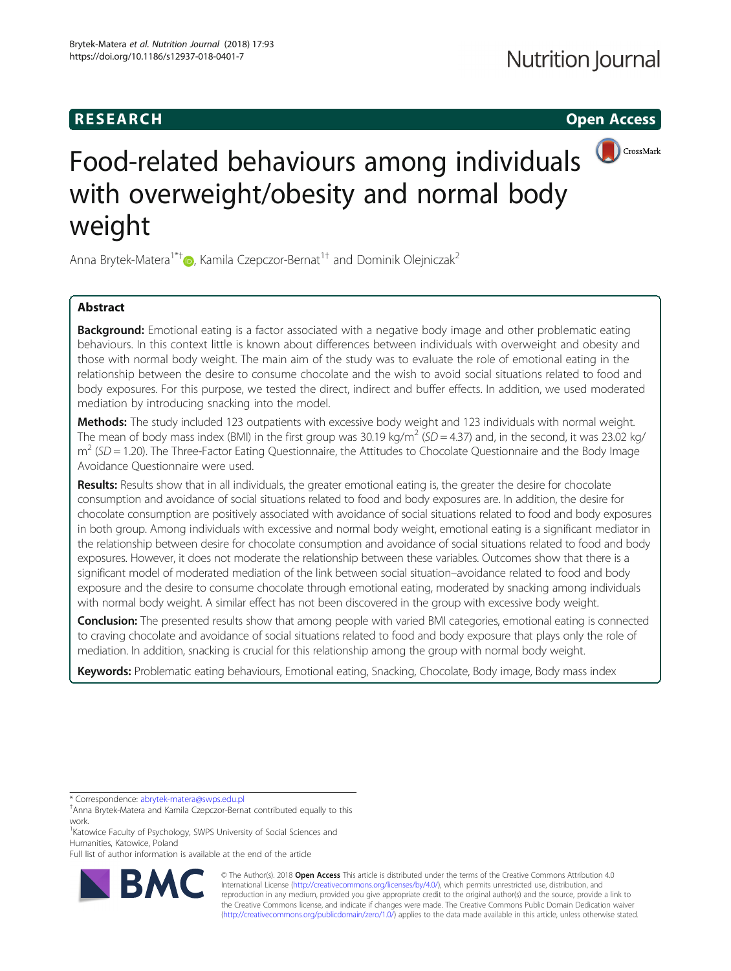## **RESEARCH CHINESE ARCH CHINESE ARCH**



# Food-related behaviours among individuals with overweight/obesity and normal body weight

Anna Brytek-Matera<sup>1\*[†](http://orcid.org/0000-0001-5178-371X)</sup>  $\bullet$ , Kamila Czepczor-Bernat<sup>1†</sup> and Dominik Olejniczak<sup>2</sup>

### Abstract

**Background:** Emotional eating is a factor associated with a negative body image and other problematic eating behaviours. In this context little is known about differences between individuals with overweight and obesity and those with normal body weight. The main aim of the study was to evaluate the role of emotional eating in the relationship between the desire to consume chocolate and the wish to avoid social situations related to food and body exposures. For this purpose, we tested the direct, indirect and buffer effects. In addition, we used moderated mediation by introducing snacking into the model.

Methods: The study included 123 outpatients with excessive body weight and 123 individuals with normal weight. The mean of body mass index (BMI) in the first group was 30.19 kg/m<sup>2</sup> (SD = 4.37) and, in the second, it was 23.02 kg/  $m^2$  (SD = 1.20). The Three-Factor Eating Questionnaire, the Attitudes to Chocolate Questionnaire and the Body Image Avoidance Questionnaire were used.

Results: Results show that in all individuals, the greater emotional eating is, the greater the desire for chocolate consumption and avoidance of social situations related to food and body exposures are. In addition, the desire for chocolate consumption are positively associated with avoidance of social situations related to food and body exposures in both group. Among individuals with excessive and normal body weight, emotional eating is a significant mediator in the relationship between desire for chocolate consumption and avoidance of social situations related to food and body exposures. However, it does not moderate the relationship between these variables. Outcomes show that there is a significant model of moderated mediation of the link between social situation–avoidance related to food and body exposure and the desire to consume chocolate through emotional eating, moderated by snacking among individuals with normal body weight. A similar effect has not been discovered in the group with excessive body weight.

**Conclusion:** The presented results show that among people with varied BMI categories, emotional eating is connected to craving chocolate and avoidance of social situations related to food and body exposure that plays only the role of mediation. In addition, snacking is crucial for this relationship among the group with normal body weight.

Keywords: Problematic eating behaviours, Emotional eating, Snacking, Chocolate, Body image, Body mass index

\* Correspondence: [abrytek-matera@swps.edu.pl](mailto:abrytek-matera@swps.edu.pl) †

<sup>1</sup> Katowice Faculty of Psychology, SWPS University of Social Sciences and Humanities, Katowice, Poland

Full list of author information is available at the end of the article



© The Author(s). 2018 Open Access This article is distributed under the terms of the Creative Commons Attribution 4.0 International License [\(http://creativecommons.org/licenses/by/4.0/](http://creativecommons.org/licenses/by/4.0/)), which permits unrestricted use, distribution, and reproduction in any medium, provided you give appropriate credit to the original author(s) and the source, provide a link to the Creative Commons license, and indicate if changes were made. The Creative Commons Public Domain Dedication waiver [\(http://creativecommons.org/publicdomain/zero/1.0/](http://creativecommons.org/publicdomain/zero/1.0/)) applies to the data made available in this article, unless otherwise stated.

Anna Brytek-Matera and Kamila Czepczor-Bernat contributed equally to this work.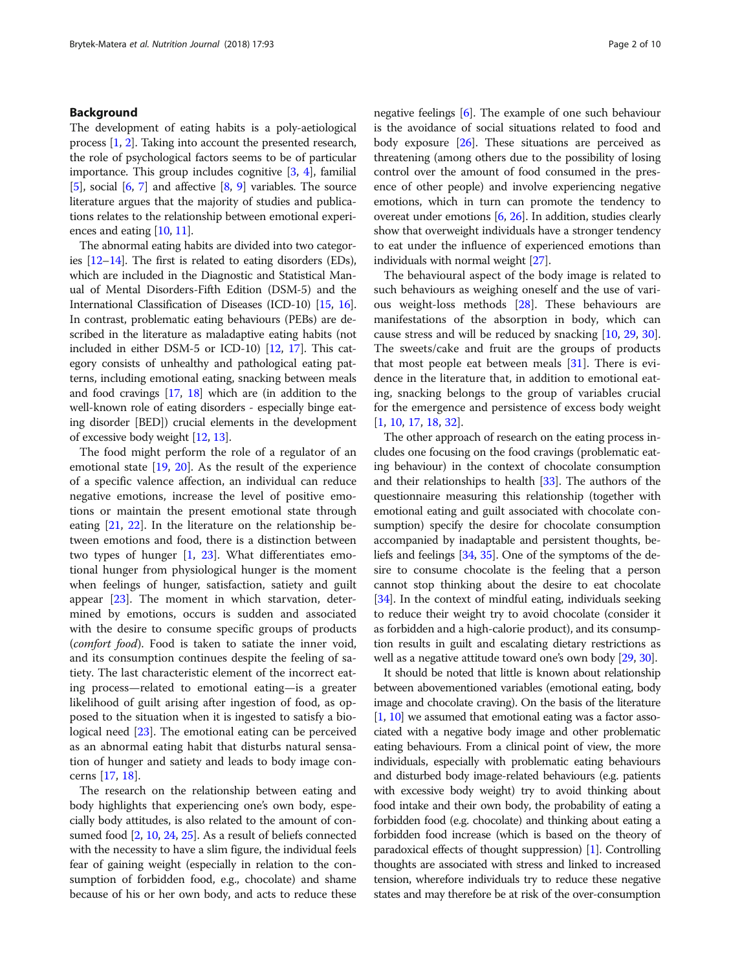#### Background

The development of eating habits is a poly-aetiological process [\[1](#page-8-0), [2\]](#page-8-0). Taking into account the presented research, the role of psychological factors seems to be of particular importance. This group includes cognitive [[3,](#page-8-0) [4](#page-8-0)], familial [[5\]](#page-8-0), social  $[6, 7]$  $[6, 7]$  $[6, 7]$  and affective  $[8, 9]$  $[8, 9]$  $[8, 9]$  variables. The source literature argues that the majority of studies and publications relates to the relationship between emotional experiences and eating [[10](#page-8-0), [11\]](#page-8-0).

The abnormal eating habits are divided into two categories [[12](#page-8-0)–[14\]](#page-8-0). The first is related to eating disorders (EDs), which are included in the Diagnostic and Statistical Manual of Mental Disorders-Fifth Edition (DSM-5) and the International Classification of Diseases (ICD-10) [\[15,](#page-8-0) [16](#page-8-0)]. In contrast, problematic eating behaviours (PEBs) are described in the literature as maladaptive eating habits (not included in either DSM-5 or ICD-10) [\[12](#page-8-0), [17\]](#page-8-0). This category consists of unhealthy and pathological eating patterns, including emotional eating, snacking between meals and food cravings [\[17,](#page-8-0) [18](#page-8-0)] which are (in addition to the well-known role of eating disorders - especially binge eating disorder [BED]) crucial elements in the development of excessive body weight [[12](#page-8-0), [13](#page-8-0)].

The food might perform the role of a regulator of an emotional state [[19,](#page-8-0) [20](#page-8-0)]. As the result of the experience of a specific valence affection, an individual can reduce negative emotions, increase the level of positive emotions or maintain the present emotional state through eating [\[21](#page-8-0), [22](#page-8-0)]. In the literature on the relationship between emotions and food, there is a distinction between two types of hunger [\[1](#page-8-0), [23\]](#page-8-0). What differentiates emotional hunger from physiological hunger is the moment when feelings of hunger, satisfaction, satiety and guilt appear [[23](#page-8-0)]. The moment in which starvation, determined by emotions, occurs is sudden and associated with the desire to consume specific groups of products (comfort food). Food is taken to satiate the inner void, and its consumption continues despite the feeling of satiety. The last characteristic element of the incorrect eating process—related to emotional eating—is a greater likelihood of guilt arising after ingestion of food, as opposed to the situation when it is ingested to satisfy a biological need [\[23\]](#page-8-0). The emotional eating can be perceived as an abnormal eating habit that disturbs natural sensation of hunger and satiety and leads to body image concerns [\[17](#page-8-0), [18](#page-8-0)].

The research on the relationship between eating and body highlights that experiencing one's own body, especially body attitudes, is also related to the amount of consumed food [[2](#page-8-0), [10,](#page-8-0) [24](#page-8-0), [25](#page-8-0)]. As a result of beliefs connected with the necessity to have a slim figure, the individual feels fear of gaining weight (especially in relation to the consumption of forbidden food, e.g., chocolate) and shame because of his or her own body, and acts to reduce these negative feelings [[6\]](#page-8-0). The example of one such behaviour is the avoidance of social situations related to food and body exposure [[26](#page-8-0)]. These situations are perceived as threatening (among others due to the possibility of losing control over the amount of food consumed in the presence of other people) and involve experiencing negative emotions, which in turn can promote the tendency to overeat under emotions [[6,](#page-8-0) [26](#page-8-0)]. In addition, studies clearly show that overweight individuals have a stronger tendency to eat under the influence of experienced emotions than individuals with normal weight [\[27\]](#page-8-0).

The behavioural aspect of the body image is related to such behaviours as weighing oneself and the use of various weight-loss methods [[28\]](#page-8-0). These behaviours are manifestations of the absorption in body, which can cause stress and will be reduced by snacking [[10](#page-8-0), [29](#page-9-0), [30](#page-9-0)]. The sweets/cake and fruit are the groups of products that most people eat between meals [\[31\]](#page-9-0). There is evidence in the literature that, in addition to emotional eating, snacking belongs to the group of variables crucial for the emergence and persistence of excess body weight [[1,](#page-8-0) [10,](#page-8-0) [17,](#page-8-0) [18,](#page-8-0) [32](#page-9-0)].

The other approach of research on the eating process includes one focusing on the food cravings (problematic eating behaviour) in the context of chocolate consumption and their relationships to health [[33](#page-9-0)]. The authors of the questionnaire measuring this relationship (together with emotional eating and guilt associated with chocolate consumption) specify the desire for chocolate consumption accompanied by inadaptable and persistent thoughts, beliefs and feelings [[34](#page-9-0), [35\]](#page-9-0). One of the symptoms of the desire to consume chocolate is the feeling that a person cannot stop thinking about the desire to eat chocolate [[34](#page-9-0)]. In the context of mindful eating, individuals seeking to reduce their weight try to avoid chocolate (consider it as forbidden and a high-calorie product), and its consumption results in guilt and escalating dietary restrictions as well as a negative attitude toward one's own body [[29](#page-9-0), [30\]](#page-9-0).

It should be noted that little is known about relationship between abovementioned variables (emotional eating, body image and chocolate craving). On the basis of the literature [[1](#page-8-0), [10\]](#page-8-0) we assumed that emotional eating was a factor associated with a negative body image and other problematic eating behaviours. From a clinical point of view, the more individuals, especially with problematic eating behaviours and disturbed body image-related behaviours (e.g. patients with excessive body weight) try to avoid thinking about food intake and their own body, the probability of eating a forbidden food (e.g. chocolate) and thinking about eating a forbidden food increase (which is based on the theory of paradoxical effects of thought suppression) [[1](#page-8-0)]. Controlling thoughts are associated with stress and linked to increased tension, wherefore individuals try to reduce these negative states and may therefore be at risk of the over-consumption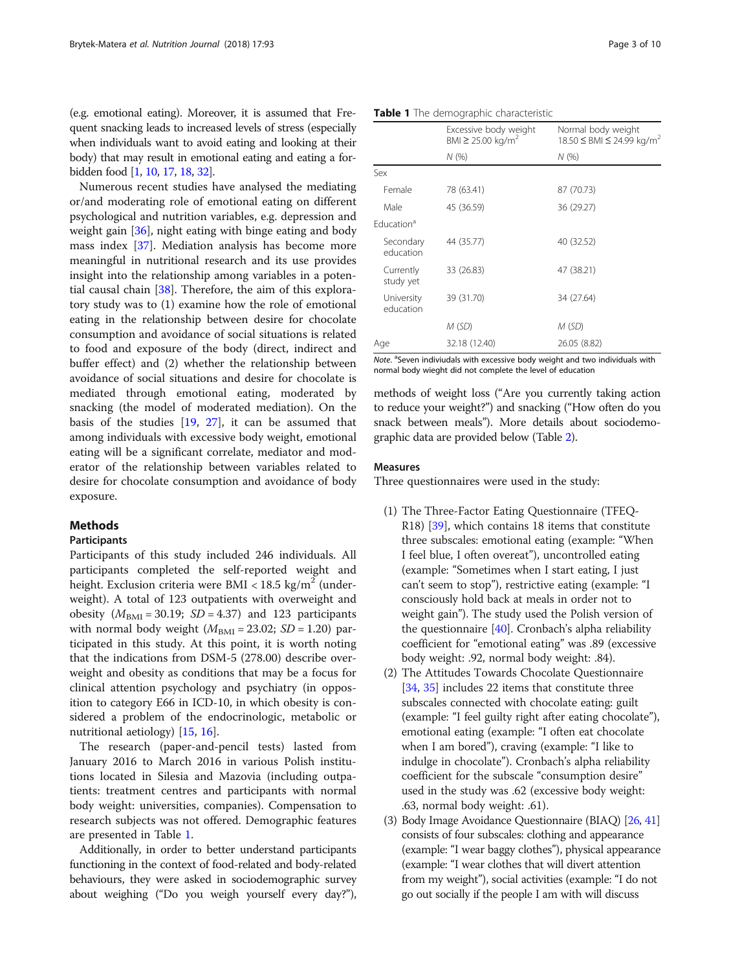(e.g. emotional eating). Moreover, it is assumed that Frequent snacking leads to increased levels of stress (especially when individuals want to avoid eating and looking at their body) that may result in emotional eating and eating a forbidden food [\[1](#page-8-0), [10](#page-8-0), [17](#page-8-0), [18](#page-8-0), [32](#page-9-0)].

Numerous recent studies have analysed the mediating or/and moderating role of emotional eating on different psychological and nutrition variables, e.g. depression and weight gain [[36\]](#page-9-0), night eating with binge eating and body mass index [[37\]](#page-9-0). Mediation analysis has become more meaningful in nutritional research and its use provides insight into the relationship among variables in a potential causal chain [\[38\]](#page-9-0). Therefore, the aim of this exploratory study was to (1) examine how the role of emotional eating in the relationship between desire for chocolate consumption and avoidance of social situations is related to food and exposure of the body (direct, indirect and buffer effect) and (2) whether the relationship between avoidance of social situations and desire for chocolate is mediated through emotional eating, moderated by snacking (the model of moderated mediation). On the basis of the studies [\[19](#page-8-0), [27\]](#page-8-0), it can be assumed that among individuals with excessive body weight, emotional eating will be a significant correlate, mediator and moderator of the relationship between variables related to desire for chocolate consumption and avoidance of body exposure.

#### **Methods**

#### Participants

Participants of this study included 246 individuals. All participants completed the self-reported weight and height. Exclusion criteria were BMI <  $18.5 \text{ kg/m}^2$  (underweight). A total of 123 outpatients with overweight and obesity  $(M_{\text{BMI}} = 30.19; SD = 4.37)$  and 123 participants with normal body weight  $(M_{\text{BMI}} = 23.02; SD = 1.20)$  participated in this study. At this point, it is worth noting that the indications from DSM-5 (278.00) describe overweight and obesity as conditions that may be a focus for clinical attention psychology and psychiatry (in opposition to category E66 in ICD-10, in which obesity is considered a problem of the endocrinologic, metabolic or nutritional aetiology) [[15,](#page-8-0) [16](#page-8-0)].

The research (paper-and-pencil tests) lasted from January 2016 to March 2016 in various Polish institutions located in Silesia and Mazovia (including outpatients: treatment centres and participants with normal body weight: universities, companies). Compensation to research subjects was not offered. Demographic features are presented in Table 1.

Additionally, in order to better understand participants functioning in the context of food-related and body-related behaviours, they were asked in sociodemographic survey about weighing ("Do you weigh yourself every day?"),

Table 1 The demographic characteristic

|                         | Excessive body weight<br>BMI ≥ 25.00 kg/m <sup>2</sup> | Normal body weight<br>18.50 ≤ BMI ≤ 24.99 kg/m <sup>2</sup> |
|-------------------------|--------------------------------------------------------|-------------------------------------------------------------|
|                         | N(% )                                                  | N(% )                                                       |
| Sex                     |                                                        |                                                             |
| Female                  | 78 (63.41)                                             | 87 (70.73)                                                  |
| Male                    | 45 (36.59)                                             | 36 (29.27)                                                  |
| Fducation <sup>a</sup>  |                                                        |                                                             |
| Secondary<br>education  | 44 (35.77)                                             | 40 (32.52)                                                  |
| Currently<br>study yet  | 33 (26.83)                                             | 47 (38.21)                                                  |
| University<br>education | 39 (31.70)                                             | 34 (27.64)                                                  |
|                         | M (SD)                                                 | M (SD)                                                      |
| Age                     | 32.18 (12.40)                                          | 26.05 (8.82)                                                |

Note. <sup>a</sup>Seven indiviudals with excessive body weight and two individuals with normal body wieght did not complete the level of education

methods of weight loss ("Are you currently taking action to reduce your weight?") and snacking ("How often do you snack between meals"). More details about sociodemographic data are provided below (Table [2\)](#page-3-0).

#### Measures

Three questionnaires were used in the study:

- (1) The Three-Factor Eating Questionnaire (TFEQ-R18) [\[39\]](#page-9-0), which contains 18 items that constitute three subscales: emotional eating (example: "When I feel blue, I often overeat"), uncontrolled eating (example: "Sometimes when I start eating, I just can't seem to stop"), restrictive eating (example: "I consciously hold back at meals in order not to weight gain"). The study used the Polish version of the questionnaire [\[40](#page-9-0)]. Cronbach's alpha reliability coefficient for "emotional eating" was .89 (excessive body weight: .92, normal body weight: .84).
- (2) The Attitudes Towards Chocolate Questionnaire [[34](#page-9-0), [35\]](#page-9-0) includes 22 items that constitute three subscales connected with chocolate eating: guilt (example: "I feel guilty right after eating chocolate"), emotional eating (example: "I often eat chocolate when I am bored"), craving (example: "I like to indulge in chocolate"). Cronbach's alpha reliability coefficient for the subscale "consumption desire" used in the study was .62 (excessive body weight: .63, normal body weight: .61).
- (3) Body Image Avoidance Questionnaire (BIAQ) [[26](#page-8-0), [41](#page-9-0)] consists of four subscales: clothing and appearance (example: "I wear baggy clothes"), physical appearance (example: "I wear clothes that will divert attention from my weight"), social activities (example: "I do not go out socially if the people I am with will discuss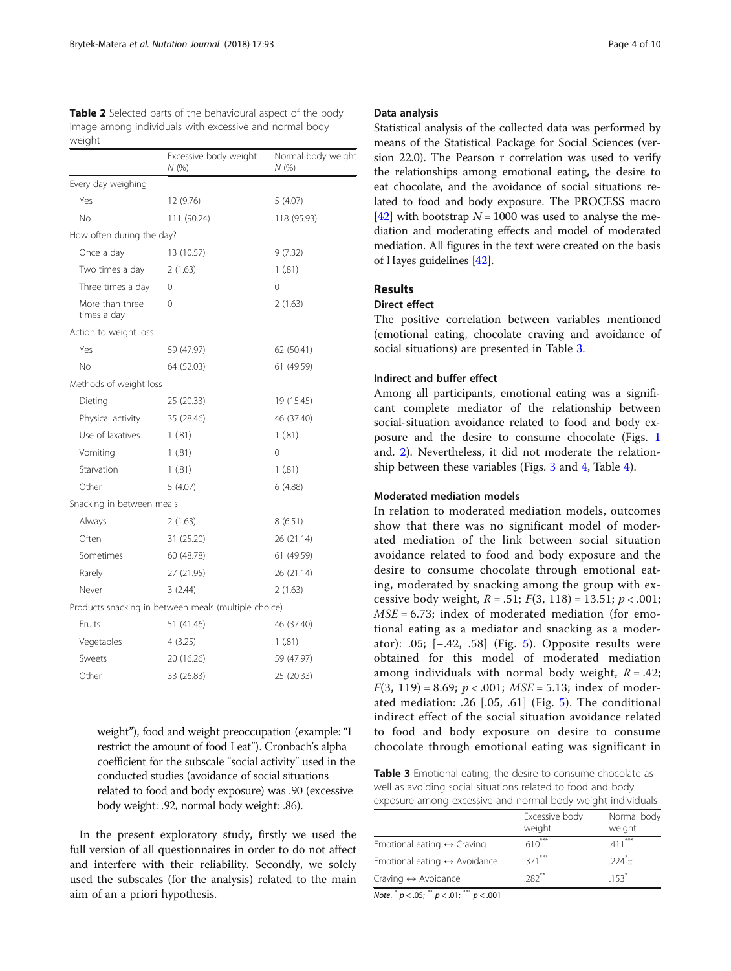<span id="page-3-0"></span>

| <b>Table 2</b> Selected parts of the behavioural aspect of the body |
|---------------------------------------------------------------------|
| image among individuals with excessive and normal body              |
| weight                                                              |

|                                | Excessive body weight<br>N (%)                       | Normal body weight<br>N (%) |
|--------------------------------|------------------------------------------------------|-----------------------------|
| Every day weighing             |                                                      |                             |
| Yes                            | 12 (9.76)                                            | 5(4.07)                     |
| Nο                             | 111 (90.24)                                          | 118 (95.93)                 |
| How often during the day?      |                                                      |                             |
| Once a day                     | 13 (10.57)                                           | 9(7.32)                     |
| Two times a day                | 2(1.63)                                              | 1(.81)                      |
| Three times a day              | 0                                                    | $\Omega$                    |
| More than three<br>times a day | 0                                                    | 2(1.63)                     |
| Action to weight loss          |                                                      |                             |
| Yes                            | 59 (47.97)                                           | 62 (50.41)                  |
| Νo                             | 64 (52.03)                                           | 61 (49.59)                  |
| Methods of weight loss         |                                                      |                             |
| Dieting                        | 25 (20.33)                                           | 19 (15.45)                  |
| Physical activity              | 35 (28.46)                                           | 46 (37.40)                  |
| Use of laxatives               | 1(.81)                                               | 1(.81)                      |
| Vomiting                       | 1(.81)                                               | 0                           |
| Starvation                     | 1(.81)                                               | 1(.81)                      |
| Other                          | 5(4.07)                                              | 6 (4.88)                    |
| Snacking in between meals      |                                                      |                             |
| Always                         | 2(1.63)                                              | 8(6.51)                     |
| Often                          | 31 (25.20)                                           | 26 (21.14)                  |
| Sometimes                      | 60 (48.78)                                           | 61 (49.59)                  |
| Rarely                         | 27 (21.95)                                           | 26 (21.14)                  |
| Never                          | 3(2.44)                                              | 2(1.63)                     |
|                                | Products snacking in between meals (multiple choice) |                             |
| Fruits                         | 51 (41.46)                                           | 46 (37.40)                  |
| Vegetables                     | 4(3.25)                                              | 1(.81)                      |
| Sweets                         | 20 (16.26)                                           | 59 (47.97)                  |
| Other                          | 33 (26.83)                                           | 25 (20.33)                  |

weight"), food and weight preoccupation (example: "I restrict the amount of food I eat"). Cronbach's alpha coefficient for the subscale "social activity" used in the conducted studies (avoidance of social situations related to food and body exposure) was .90 (excessive body weight: .92, normal body weight: .86).

In the present exploratory study, firstly we used the full version of all questionnaires in order to do not affect and interfere with their reliability. Secondly, we solely used the subscales (for the analysis) related to the main aim of an a priori hypothesis.

#### Data analysis

Statistical analysis of the collected data was performed by means of the Statistical Package for Social Sciences (version 22.0). The Pearson r correlation was used to verify the relationships among emotional eating, the desire to eat chocolate, and the avoidance of social situations related to food and body exposure. The PROCESS macro [[42](#page-9-0)] with bootstrap  $N = 1000$  was used to analyse the mediation and moderating effects and model of moderated mediation. All figures in the text were created on the basis of Hayes guidelines [[42](#page-9-0)].

#### Results

#### Direct effect

The positive correlation between variables mentioned (emotional eating, chocolate craving and avoidance of social situations) are presented in Table 3.

#### Indirect and buffer effect

Among all participants, emotional eating was a significant complete mediator of the relationship between social-situation avoidance related to food and body exposure and the desire to consume chocolate (Figs. [1](#page-4-0) and. [2\)](#page-4-0). Nevertheless, it did not moderate the relationship between these variables (Figs. [3](#page-5-0) and [4,](#page-5-0) Table [4](#page-6-0)).

#### Moderated mediation models

In relation to moderated mediation models, outcomes show that there was no significant model of moderated mediation of the link between social situation avoidance related to food and body exposure and the desire to consume chocolate through emotional eating, moderated by snacking among the group with excessive body weight,  $R = .51$ ;  $F(3, 118) = 13.51$ ;  $p < .001$ ;  $MSE = 6.73$ ; index of moderated mediation (for emotional eating as a mediator and snacking as a moderator): .05; [−.42, .58] (Fig. [5](#page-6-0)). Opposite results were obtained for this model of moderated mediation among individuals with normal body weight,  $R = .42$ ;  $F(3, 119) = 8.69$ ;  $p < .001$ ;  $MSE = 5.13$ ; index of moderated mediation: .26 [.05, .61] (Fig. [5\)](#page-6-0). The conditional indirect effect of the social situation avoidance related to food and body exposure on desire to consume chocolate through emotional eating was significant in

Table 3 Emotional eating, the desire to consume chocolate as well as avoiding social situations related to food and body exposure among excessive and normal body weight individuals

|                                              | Excessive body<br>weight | Normal body<br>weight |
|----------------------------------------------|--------------------------|-----------------------|
| Emotional eating $\leftrightarrow$ Craving   | $.610***$                | $411***$              |
| Emotional eating $\leftrightarrow$ Avoidance | $.371***$                | $224 -$               |
| Craving $\leftrightarrow$ Avoidance          | $282**$                  | $153$ <sup>*</sup>    |

Note.  $p < .05$ ;  $p < .01$ ;  $p < .001$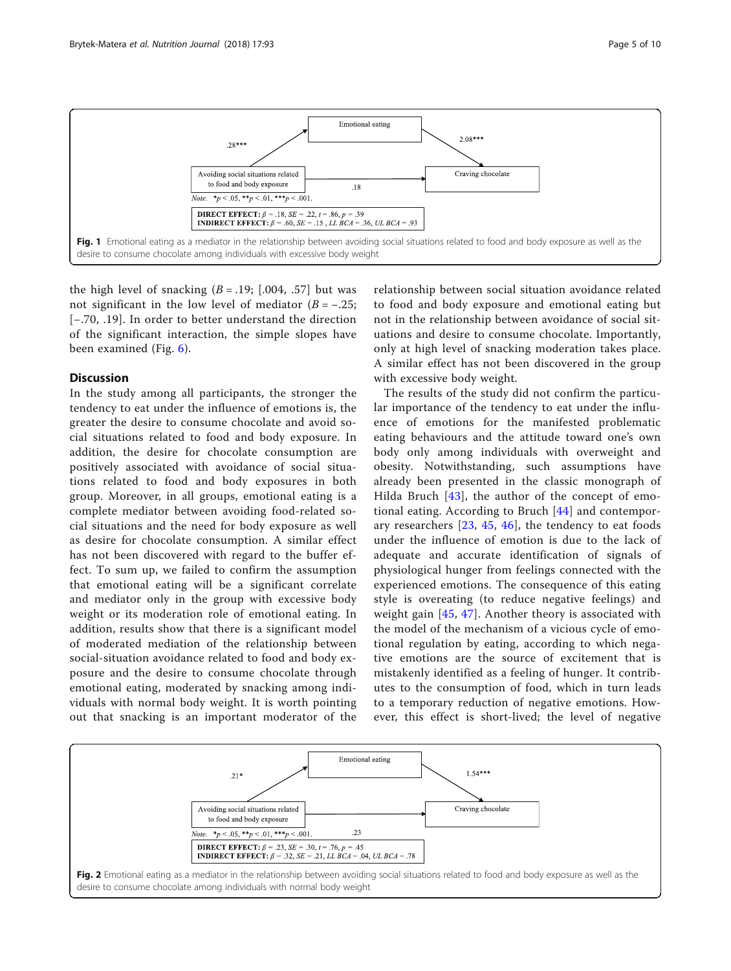<span id="page-4-0"></span>

the high level of snacking  $(B = .19; [.004, .57]$  but was not significant in the low level of mediator  $(B = -.25)$ ; [−.70, .19]. In order to better understand the direction of the significant interaction, the simple slopes have been examined (Fig. [6](#page-7-0)).

#### **Discussion**

In the study among all participants, the stronger the tendency to eat under the influence of emotions is, the greater the desire to consume chocolate and avoid social situations related to food and body exposure. In addition, the desire for chocolate consumption are positively associated with avoidance of social situations related to food and body exposures in both group. Moreover, in all groups, emotional eating is a complete mediator between avoiding food-related social situations and the need for body exposure as well as desire for chocolate consumption. A similar effect has not been discovered with regard to the buffer effect. To sum up, we failed to confirm the assumption that emotional eating will be a significant correlate and mediator only in the group with excessive body weight or its moderation role of emotional eating. In addition, results show that there is a significant model of moderated mediation of the relationship between social-situation avoidance related to food and body exposure and the desire to consume chocolate through emotional eating, moderated by snacking among individuals with normal body weight. It is worth pointing out that snacking is an important moderator of the

relationship between social situation avoidance related to food and body exposure and emotional eating but not in the relationship between avoidance of social situations and desire to consume chocolate. Importantly, only at high level of snacking moderation takes place. A similar effect has not been discovered in the group with excessive body weight.

The results of the study did not confirm the particular importance of the tendency to eat under the influence of emotions for the manifested problematic eating behaviours and the attitude toward one's own body only among individuals with overweight and obesity. Notwithstanding, such assumptions have already been presented in the classic monograph of Hilda Bruch [\[43\]](#page-9-0), the author of the concept of emotional eating. According to Bruch [[44\]](#page-9-0) and contemporary researchers [\[23,](#page-8-0) [45,](#page-9-0) [46\]](#page-9-0), the tendency to eat foods under the influence of emotion is due to the lack of adequate and accurate identification of signals of physiological hunger from feelings connected with the experienced emotions. The consequence of this eating style is overeating (to reduce negative feelings) and weight gain [\[45,](#page-9-0) [47](#page-9-0)]. Another theory is associated with the model of the mechanism of a vicious cycle of emotional regulation by eating, according to which negative emotions are the source of excitement that is mistakenly identified as a feeling of hunger. It contributes to the consumption of food, which in turn leads to a temporary reduction of negative emotions. However, this effect is short-lived; the level of negative

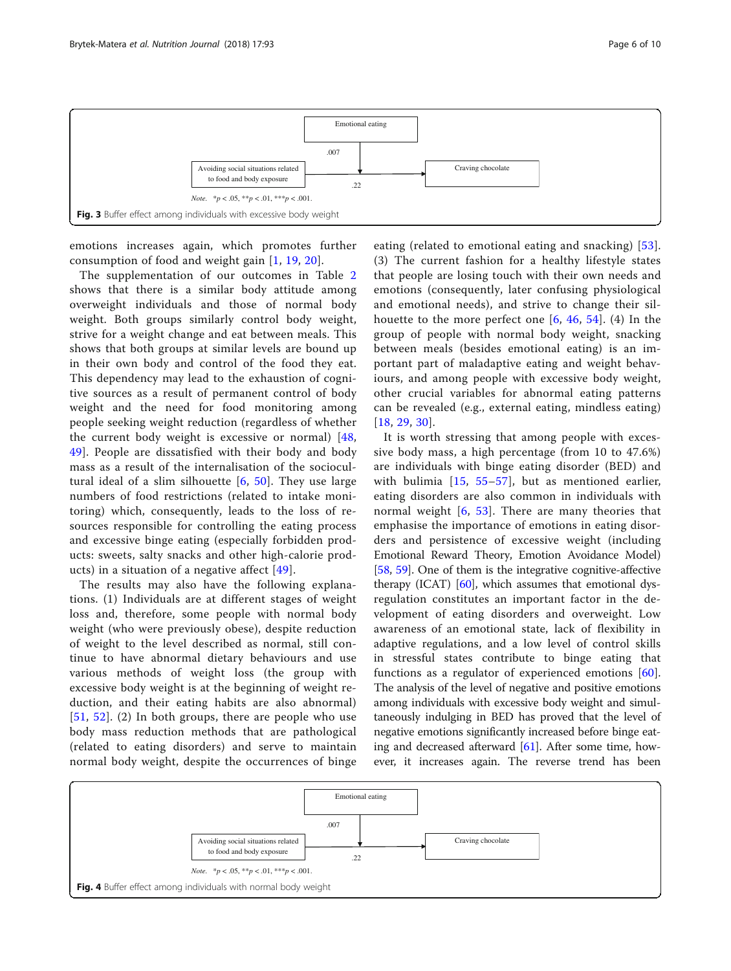<span id="page-5-0"></span>

emotions increases again, which promotes further consumption of food and weight gain [\[1,](#page-8-0) [19](#page-8-0), [20\]](#page-8-0).

Fig. 3 Buffer effect among individuals with excessive body weight

*Note.* \**p* < .05, \*\**p* < .01, \*\*\**p* < .001.

The supplementation of our outcomes in Table [2](#page-3-0) shows that there is a similar body attitude among overweight individuals and those of normal body weight. Both groups similarly control body weight, strive for a weight change and eat between meals. This shows that both groups at similar levels are bound up in their own body and control of the food they eat. This dependency may lead to the exhaustion of cognitive sources as a result of permanent control of body weight and the need for food monitoring among people seeking weight reduction (regardless of whether the current body weight is excessive or normal) [\[48](#page-9-0), [49\]](#page-9-0). People are dissatisfied with their body and body mass as a result of the internalisation of the sociocultural ideal of a slim silhouette  $[6, 50]$  $[6, 50]$  $[6, 50]$  $[6, 50]$  $[6, 50]$ . They use large numbers of food restrictions (related to intake monitoring) which, consequently, leads to the loss of resources responsible for controlling the eating process and excessive binge eating (especially forbidden products: sweets, salty snacks and other high-calorie products) in a situation of a negative affect [\[49\]](#page-9-0).

The results may also have the following explanations. (1) Individuals are at different stages of weight loss and, therefore, some people with normal body weight (who were previously obese), despite reduction of weight to the level described as normal, still continue to have abnormal dietary behaviours and use various methods of weight loss (the group with excessive body weight is at the beginning of weight reduction, and their eating habits are also abnormal) [[51](#page-9-0), [52](#page-9-0)]. (2) In both groups, there are people who use body mass reduction methods that are pathological (related to eating disorders) and serve to maintain normal body weight, despite the occurrences of binge

eating (related to emotional eating and snacking) [[53](#page-9-0)]. (3) The current fashion for a healthy lifestyle states that people are losing touch with their own needs and emotions (consequently, later confusing physiological and emotional needs), and strive to change their silhouette to the more perfect one  $[6, 46, 54]$  $[6, 46, 54]$  $[6, 46, 54]$  $[6, 46, 54]$  $[6, 46, 54]$  $[6, 46, 54]$  $[6, 46, 54]$ . (4) In the group of people with normal body weight, snacking between meals (besides emotional eating) is an important part of maladaptive eating and weight behaviours, and among people with excessive body weight, other crucial variables for abnormal eating patterns can be revealed (e.g., external eating, mindless eating) [[18](#page-8-0), [29,](#page-9-0) [30](#page-9-0)].

It is worth stressing that among people with excessive body mass, a high percentage (from 10 to 47.6%) are individuals with binge eating disorder (BED) and with bulimia [[15,](#page-8-0) [55](#page-9-0)–[57](#page-9-0)], but as mentioned earlier, eating disorders are also common in individuals with normal weight [[6,](#page-8-0) [53](#page-9-0)]. There are many theories that emphasise the importance of emotions in eating disorders and persistence of excessive weight (including Emotional Reward Theory, Emotion Avoidance Model) [[58](#page-9-0), [59](#page-9-0)]. One of them is the integrative cognitive-affective therapy (ICAT) [[60](#page-9-0)], which assumes that emotional dysregulation constitutes an important factor in the development of eating disorders and overweight. Low awareness of an emotional state, lack of flexibility in adaptive regulations, and a low level of control skills in stressful states contribute to binge eating that functions as a regulator of experienced emotions [\[60](#page-9-0)]. The analysis of the level of negative and positive emotions among individuals with excessive body weight and simultaneously indulging in BED has proved that the level of negative emotions significantly increased before binge eating and decreased afterward [[61](#page-9-0)]. After some time, however, it increases again. The reverse trend has been

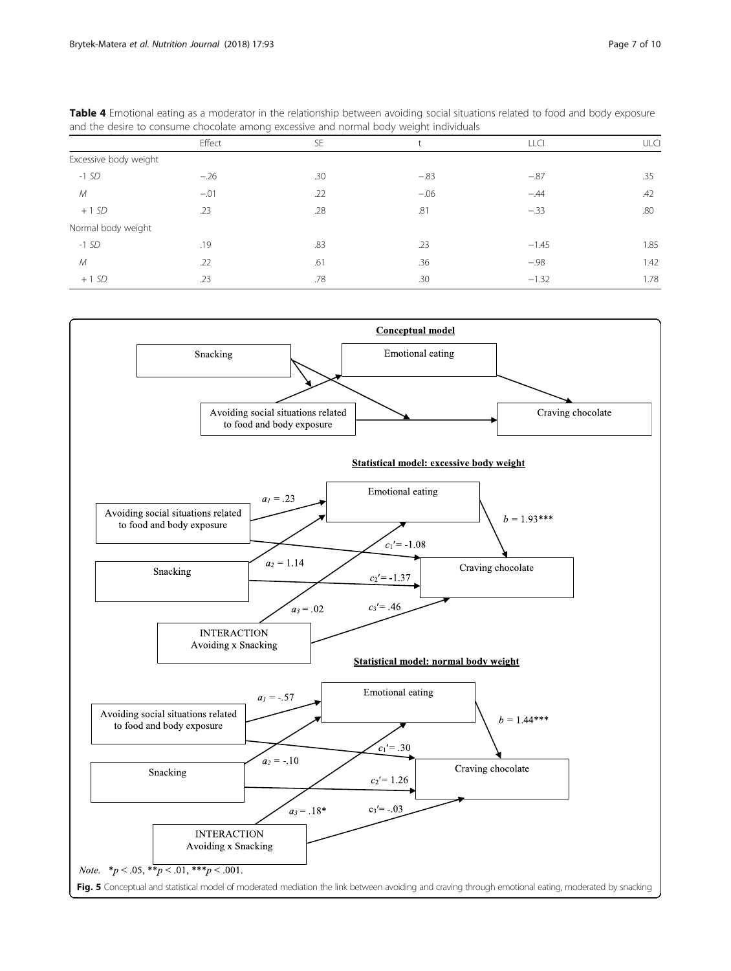| and the desire to consume chocolate among excessive and normal body weight individuals |        |     |        |             |             |  |  |  |
|----------------------------------------------------------------------------------------|--------|-----|--------|-------------|-------------|--|--|--|
|                                                                                        | Effect | SE  |        | <b>LLCI</b> | <b>ULCI</b> |  |  |  |
| Excessive body weight                                                                  |        |     |        |             |             |  |  |  |
| $-1$ SD                                                                                | $-.26$ | .30 | $-.83$ | $-.87$      | .35         |  |  |  |
| М                                                                                      | $-.01$ | .22 | $-.06$ | $-.44$      | .42         |  |  |  |
| $+1SD$                                                                                 | .23    | .28 | .81    | $-.33$      | .80         |  |  |  |
| Normal body weight                                                                     |        |     |        |             |             |  |  |  |
| $-1$ SD                                                                                | .19    | .83 | .23    | $-1.45$     | 1.85        |  |  |  |
| М                                                                                      | .22    | .61 | .36    | $-.98$      | 1.42        |  |  |  |
| $+1SD$                                                                                 | .23    | .78 | .30    | $-1.32$     | 1.78        |  |  |  |

<span id="page-6-0"></span>Table 4 Emotional eating as a moderator in the relationship between avoiding social situations related to food and body exposure

Conceptual model Emotional eating Snacking Avoiding social situations related Craving chocolate to food and body exposure **Statistical model: excessive body weight** Emotional eating  $a_1 = .23$ Avoiding social situations related  $b = 1.93***$ to food and body exposure  $c_1' = 1.08$  $a_2 = 1.14$ Craving chocolate Snacking  $c_2' = -1.37$  $a_3 = .02$  $c_3$ '= .46 **INTERACTION** Avoiding x Snacking Statistical model: normal body weight Emotional eating  $a_1 = .57$ Avoiding social situations related  $b = 1.44***$ to food and body exposure  $c_1 = .30$  $a_2 = -10$ Craving chocolate Snacking  $c_2$ '= 1.26  $a_3 = .18*$  $c_3 = .03$ **INTERACTION** Avoiding x Snacking *Note.* \* $p < .05$ , \*\* $p < .01$ , \*\*\* $p < .001$ . Fig. 5 Conceptual and statistical model of moderated mediation the link between avoiding and craving through emotional eating, moderated by snacking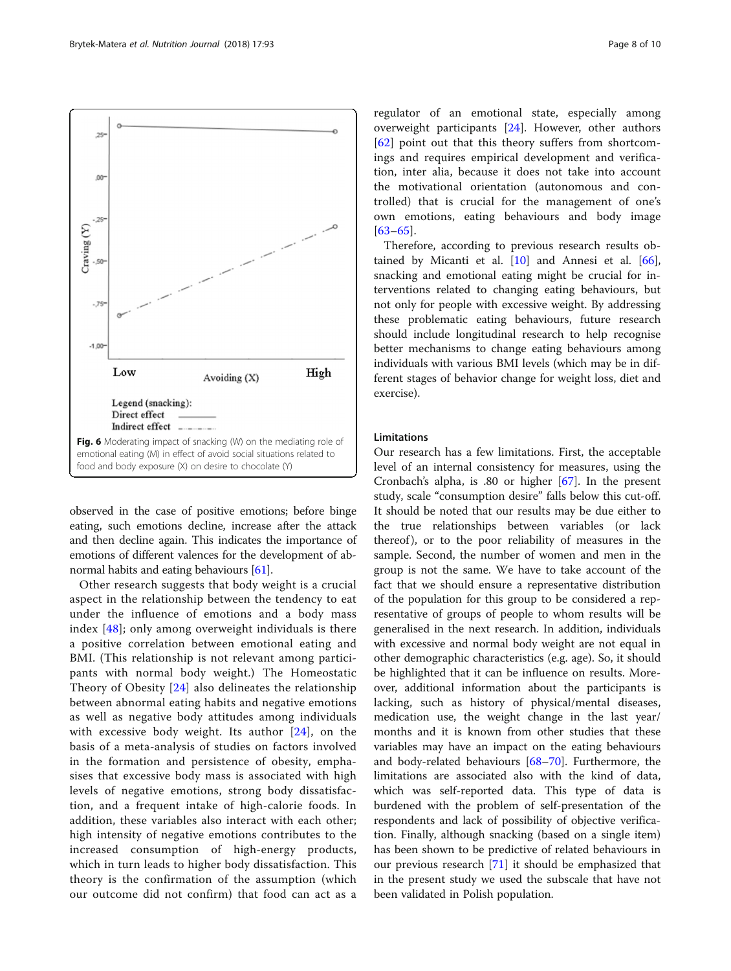[[63](#page-9-0)–[65\]](#page-9-0). Therefore, according to previous research results ob-

tained by Micanti et al. [[10\]](#page-8-0) and Annesi et al. [\[66](#page-9-0)], snacking and emotional eating might be crucial for interventions related to changing eating behaviours, but not only for people with excessive weight. By addressing these problematic eating behaviours, future research should include longitudinal research to help recognise better mechanisms to change eating behaviours among individuals with various BMI levels (which may be in different stages of behavior change for weight loss, diet and exercise).

regulator of an emotional state, especially among overweight participants [[24\]](#page-8-0). However, other authors [[62\]](#page-9-0) point out that this theory suffers from shortcomings and requires empirical development and verification, inter alia, because it does not take into account the motivational orientation (autonomous and controlled) that is crucial for the management of one's own emotions, eating behaviours and body image

#### **Limitations**

Our research has a few limitations. First, the acceptable level of an internal consistency for measures, using the Cronbach's alpha, is .80 or higher [[67\]](#page-9-0). In the present study, scale "consumption desire" falls below this cut-off. It should be noted that our results may be due either to the true relationships between variables (or lack thereof ), or to the poor reliability of measures in the sample. Second, the number of women and men in the group is not the same. We have to take account of the fact that we should ensure a representative distribution of the population for this group to be considered a representative of groups of people to whom results will be generalised in the next research. In addition, individuals with excessive and normal body weight are not equal in other demographic characteristics (e.g. age). So, it should be highlighted that it can be influence on results. Moreover, additional information about the participants is lacking, such as history of physical/mental diseases, medication use, the weight change in the last year/ months and it is known from other studies that these variables may have an impact on the eating behaviours and body-related behaviours [[68](#page-9-0)–[70](#page-9-0)]. Furthermore, the limitations are associated also with the kind of data, which was self-reported data. This type of data is burdened with the problem of self-presentation of the respondents and lack of possibility of objective verification. Finally, although snacking (based on a single item) has been shown to be predictive of related behaviours in our previous research [\[71](#page-9-0)] it should be emphasized that in the present study we used the subscale that have not been validated in Polish population.

observed in the case of positive emotions; before binge eating, such emotions decline, increase after the attack and then decline again. This indicates the importance of emotions of different valences for the development of abnormal habits and eating behaviours [[61](#page-9-0)].

Other research suggests that body weight is a crucial aspect in the relationship between the tendency to eat under the influence of emotions and a body mass index [[48\]](#page-9-0); only among overweight individuals is there a positive correlation between emotional eating and BMI. (This relationship is not relevant among participants with normal body weight.) The Homeostatic Theory of Obesity [\[24](#page-8-0)] also delineates the relationship between abnormal eating habits and negative emotions as well as negative body attitudes among individuals with excessive body weight. Its author  $[24]$  $[24]$ , on the basis of a meta-analysis of studies on factors involved in the formation and persistence of obesity, emphasises that excessive body mass is associated with high levels of negative emotions, strong body dissatisfaction, and a frequent intake of high-calorie foods. In addition, these variables also interact with each other; high intensity of negative emotions contributes to the increased consumption of high-energy products, which in turn leads to higher body dissatisfaction. This theory is the confirmation of the assumption (which our outcome did not confirm) that food can act as a

<span id="page-7-0"></span>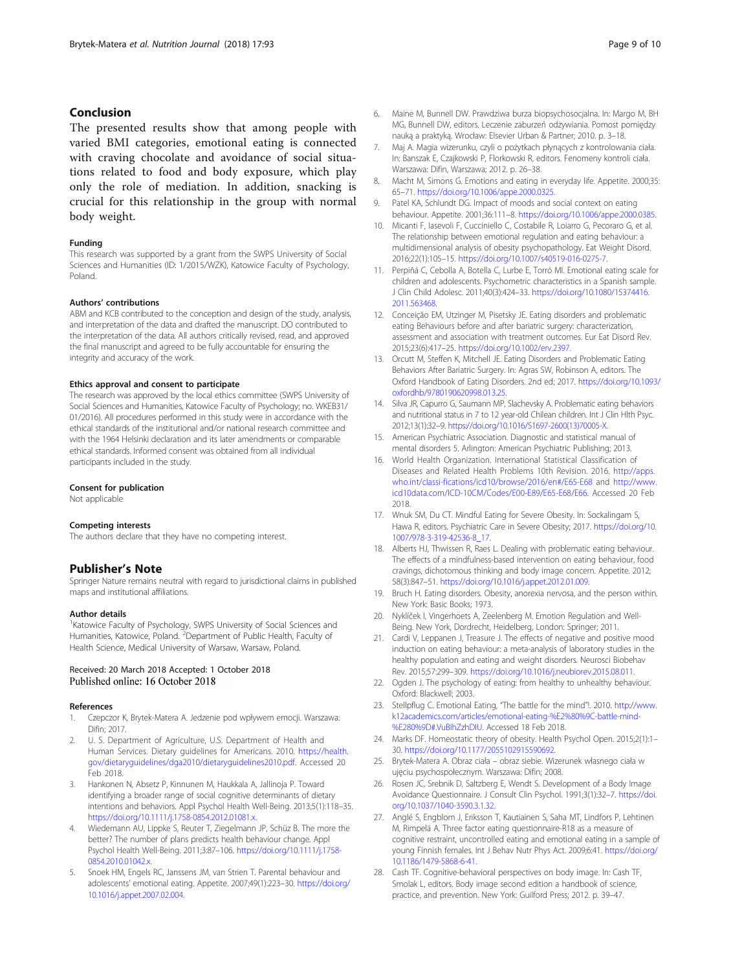#### <span id="page-8-0"></span>Conclusion

The presented results show that among people with varied BMI categories, emotional eating is connected with craving chocolate and avoidance of social situations related to food and body exposure, which play only the role of mediation. In addition, snacking is crucial for this relationship in the group with normal body weight.

#### Funding

This research was supported by a grant from the SWPS University of Social Sciences and Humanities (ID: 1/2015/WZK), Katowice Faculty of Psychology, Poland.

#### Authors' contributions

ABM and KCB contributed to the conception and design of the study, analysis, and interpretation of the data and drafted the manuscript. DO contributed to the interpretation of the data. All authors critically revised, read, and approved the final manuscript and agreed to be fully accountable for ensuring the integrity and accuracy of the work.

#### Ethics approval and consent to participate

The research was approved by the local ethics committee (SWPS University of Social Sciences and Humanities, Katowice Faculty of Psychology; no. WKEB31/ 01/2016). All procedures performed in this study were in accordance with the ethical standards of the institutional and/or national research committee and with the 1964 Helsinki declaration and its later amendments or comparable ethical standards. Informed consent was obtained from all individual participants included in the study.

#### Consent for publication

Not applicable

#### Competing interests

The authors declare that they have no competing interest.

#### Publisher's Note

Springer Nature remains neutral with regard to jurisdictional claims in published maps and institutional affiliations.

#### Author details

<sup>1</sup> Katowice Faculty of Psychology, SWPS University of Social Sciences and Humanities, Katowice, Poland. <sup>2</sup> Department of Public Health, Faculty of Health Science, Medical University of Warsaw, Warsaw, Poland.

# Received: 20 March 2018 Accepted: 1 October 2018

#### References

- Czepczor K, Brytek-Matera A. Jedzenie pod wpływem emocji. Warszawa: Difin; 2017.
- 2. U. S. Department of Agriculture, U.S. Department of Health and Human Services. Dietary guidelines for Americans. 2010. [https://health.](https://health.gov/dietaryguidelines/dga2010/dietaryguidelines2010.pdf) [gov/dietaryguidelines/dga2010/dietaryguidelines2010.pdf.](https://health.gov/dietaryguidelines/dga2010/dietaryguidelines2010.pdf) Accessed 20 Feb 2018.
- 3. Hankonen N, Absetz P, Kinnunen M, Haukkala A, Jallinoja P. Toward identifying a broader range of social cognitive determinants of dietary intentions and behaviors. Appl Psychol Health Well-Being. 2013;5(1):118–35. <https://doi.org/10.1111/j.1758-0854.2012.01081.x>.
- 4. Wiedemann AU, Lippke S, Reuter T, Ziegelmann JP, Schüz B. The more the better? The number of plans predicts health behaviour change. Appl Psychol Health Well-Being. 2011;3:87–106. [https://doi.org/10.1111/j.1758-](https://doi.org/10.1111/j.1758-0854.2010.01042.x) [0854.2010.01042.x.](https://doi.org/10.1111/j.1758-0854.2010.01042.x)
- 5. Snoek HM, Engels RC, Janssens JM, van Strien T. Parental behaviour and adolescents' emotional eating. Appetite. 2007;49(1):223–30. [https://doi.org/](https://doi.org/10.1016/j.appet.2007.02.004) [10.1016/j.appet.2007.02.004](https://doi.org/10.1016/j.appet.2007.02.004).
- 6. Maine M, Bunnell DW. Prawdziwa burza biopsychosocjalna. In: Margo M, BH MG, Bunnell DW, editors. Leczenie zaburzeń odżywiania. Pomost pomiędzy nauką a praktyką. Wrocław: Elsevier Urban & Partner; 2010. p. 3–18.
- 7. Maj A. Magia wizerunku, czyli o pożytkach płynących z kontrolowania ciała. In: Banszak E, Czajkowski P, Florkowski R, editors. Fenomeny kontroli ciała. Warszawa: Difin, Warszawa; 2012. p. 26–38.
- 8. Macht M, Simons G. Emotions and eating in everyday life. Appetite. 2000;35: 65–71. <https://doi.org/10.1006/appe.2000.0325>.
- 9. Patel KA, Schlundt DG. Impact of moods and social context on eating behaviour. Appetite. 2001;36:111–8. [https://doi.org/10.1006/appe.2000.0385.](https://doi.org/10.1006/appe.2000.0385)
- 10. Micanti F, Iasevoli F, Cucciniello C, Costabile R, Loiarro G, Pecoraro G, et al. The relationship between emotional regulation and eating behaviour: a multidimensional analysis of obesity psychopathology. Eat Weight Disord. 2016;22(1):105–15. <https://doi.org/10.1007/s40519-016-0275-7>.
- 11. Perpiñá C, Cebolla A, Botella C, Lurbe E, Torró MI. Emotional eating scale for children and adolescents. Psychometric characteristics in a Spanish sample. J Clin Child Adolesc. 2011;40(3):424–33. [https://doi.org/10.1080/15374416.](https://doi.org/10.1080/15374416.2011.563468) [2011.563468](https://doi.org/10.1080/15374416.2011.563468).
- 12. Conceição EM, Utzinger M, Pisetsky JE. Eating disorders and problematic eating Behaviours before and after bariatric surgery: characterization, assessment and association with treatment outcomes. Eur Eat Disord Rev. 2015;23(6):417–25. <https://doi.org/10.1002/erv.2397>.
- 13. Orcutt M, Steffen K, Mitchell JE. Eating Disorders and Problematic Eating Behaviors After Bariatric Surgery. In: Agras SW, Robinson A, editors. The Oxford Handbook of Eating Disorders. 2nd ed; 2017. [https://doi.org/10.1093/](https://doi.org/10.1093/oxfordhb/9780190620998.013.25) [oxfordhb/9780190620998.013.25.](https://doi.org/10.1093/oxfordhb/9780190620998.013.25)
- 14. Silva JR, Capurro G, Saumann MP, Slachevsky A. Problematic eating behaviors and nutritional status in 7 to 12 year-old Chilean children. Int J Clin Hlth Psyc. 2012;13(1):32–9. [https://doi.org/10.1016/S1697-2600\(13\)70005-X](https://doi.org/10.1016/S1697-2600(13)70005-X).
- 15. American Psychiatric Association. Diagnostic and statistical manual of mental disorders 5. Arlington: American Psychiatric Publishing; 2013.
- 16. World Health Organization. International Statistical Classification of Diseases and Related Health Problems 10th Revision. 2016. [http://apps.](http://apps.who.int/classi-fications/icd10/browse/2016/en#/E65-E68) [who.int/classi-fications/icd10/browse/2016/en#/E65-E68](http://apps.who.int/classi-fications/icd10/browse/2016/en#/E65-E68) and [http://www.](http://www.icd10data.com/ICD-10CM/Codes/E00-E89/E65-E68/E66) [icd10data.com/ICD-10CM/Codes/E00-E89/E65-E68/E66.](http://www.icd10data.com/ICD-10CM/Codes/E00-E89/E65-E68/E66) Accessed 20 Feb 2018.
- 17. Wnuk SM, Du CT. Mindful Eating for Severe Obesity. In: Sockalingam S, Hawa R, editors. Psychiatric Care in Severe Obesity; 2017. [https://doi.org/10.](https://doi.org/10.1007/978-3-319-42536-8_17) [1007/978-3-319-42536-8\\_17.](https://doi.org/10.1007/978-3-319-42536-8_17)
- 18. Alberts HJ, Thwissen R, Raes L. Dealing with problematic eating behaviour. The effects of a mindfulness-based intervention on eating behaviour, food cravings, dichotomous thinking and body image concern. Appetite. 2012; 58(3):847–51. <https://doi.org/10.1016/j.appet.2012.01.009>.
- 19. Bruch H. Eating disorders. Obesity, anorexia nervosa, and the person within. New York: Basic Books; 1973.
- 20. Nyklíček I, Vingerhoets A, Zeelenberg M. Emotion Regulation and Well-Being. New York, Dordrecht, Heidelberg, London: Springer; 2011.
- 21. Cardi V, Leppanen J, Treasure J. The effects of negative and positive mood induction on eating behaviour: a meta-analysis of laboratory studies in the healthy population and eating and weight disorders. Neurosci Biobehav Rev. 2015;57:299–309. <https://doi.org/10.1016/j.neubiorev.2015.08.011>.
- 22. Ogden J. The psychology of eating: from healthy to unhealthy behaviour. Oxford: Blackwell; 2003.
- 23. Stellpflug C. Emotional Eating, "The battle for the mind"!. 2010. [http://www.](http://www.k12academics.com/articles/emotional-eating-%E2%80%9C-battle-mind-%E280%9D#.VuBIhZzhDIU) [k12academics.com/articles/emotional-eating-%E2%80%9C-battle-mind-](http://www.k12academics.com/articles/emotional-eating-%E2%80%9C-battle-mind-%E280%9D#.VuBIhZzhDIU) [%E280%9D#.VuBIhZzhDIU](http://www.k12academics.com/articles/emotional-eating-%E2%80%9C-battle-mind-%E280%9D#.VuBIhZzhDIU). Accessed 18 Feb 2018.
- 24. Marks DF. Homeostatic theory of obesity. Health Psychol Open. 2015;2(1):1– 30. [https://doi.org/10.1177/2055102915590692.](https://doi.org/10.1177/2055102915590692)
- 25. Brytek-Matera A. Obraz ciała obraz siebie. Wizerunek własnego ciała w ujęciu psychospołecznym. Warszawa: Difin; 2008.
- 26. Rosen JC, Srebnik D, Saltzberg E, Wendt S. Development of a Body Image Avoidance Questionnaire. J Consult Clin Psychol. 1991;3(1):32–7. [https://doi.](https://doi.org/10.1037/1040-3590.3.1.32) [org/10.1037/1040-3590.3.1.32.](https://doi.org/10.1037/1040-3590.3.1.32)
- 27. Anglé S, Engblom J, Eriksson T, Kautiainen S, Saha MT, Lindfors P, Lehtinen M, Rimpelä A. Three factor eating questionnaire-R18 as a measure of cognitive restraint, uncontrolled eating and emotional eating in a sample of young Finnish females. Int J Behav Nutr Phys Act. 2009;6:41. [https://doi.org/](https://doi.org/10.1186/1479-5868-6-41) [10.1186/1479-5868-6-41.](https://doi.org/10.1186/1479-5868-6-41)
- 28. Cash TF. Cognitive-behavioral perspectives on body image. In: Cash TF, Smolak L, editors. Body image second edition a handbook of science, practice, and prevention. New York: Guilford Press; 2012. p. 39–47.